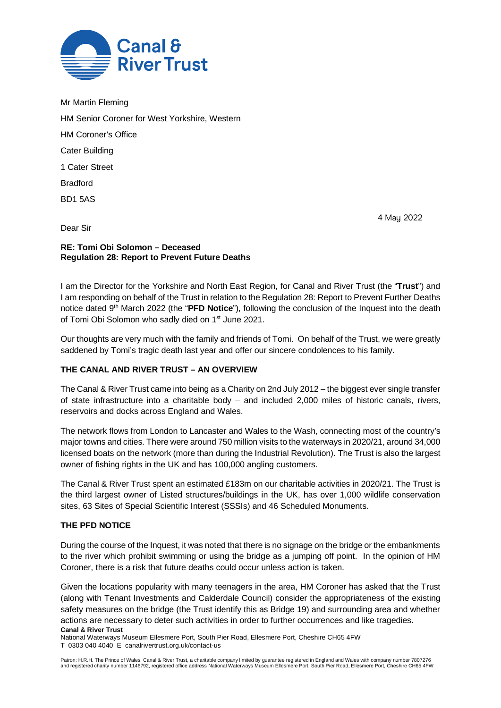

Mr Martin Fleming HM Senior Coroner for West Yorkshire, Western HM Coroner's Office Cater Building 1 Cater Street Bradford BD1 5AS

4 May 2022

Dear Sir

# **RE: Tomi Obi Solomon – Deceased Regulation 28: Report to Prevent Future Deaths**

I am the Director for the Yorkshire and North East Region, for Canal and River Trust (the "**Trust**") and I am responding on behalf of the Trust in relation to the Regulation 28: Report to Prevent Further Deaths notice dated 9th March 2022 (the "**PFD Notice**"), following the conclusion of the Inquest into the death of Tomi Obi Solomon who sadly died on 1<sup>st</sup> June 2021.

Our thoughts are very much with the family and friends of Tomi. On behalf of the Trust, we were greatly saddened by Tomi's tragic death last year and offer our sincere condolences to his family.

# **THE CANAL AND RIVER TRUST – AN OVERVIEW**

The Canal & River Trust came into being as a Charity on 2nd July 2012 – the biggest ever single transfer of state infrastructure into a charitable body – and included 2,000 miles of historic canals, rivers, reservoirs and docks across England and Wales.

The network flows from London to Lancaster and Wales to the Wash, connecting most of the country's major towns and cities. There were around 750 million visits to the waterways in 2020/21, around 34,000 licensed boats on the network (more than during the Industrial Revolution). The Trust is also the largest owner of fishing rights in the UK and has 100,000 angling customers.

The Canal & River Trust spent an estimated £183m on our charitable activities in 2020/21. The Trust is the third largest owner of Listed structures/buildings in the UK, has over 1,000 wildlife conservation sites, 63 Sites of Special Scientific Interest (SSSIs) and 46 Scheduled Monuments.

# **THE PFD NOTICE**

During the course of the Inquest, it was noted that there is no signage on the bridge or the embankments to the river which prohibit swimming or using the bridge as a jumping off point. In the opinion of HM Coroner, there is a risk that future deaths could occur unless action is taken.

**Canal & River Trust** Given the locations popularity with many teenagers in the area, HM Coroner has asked that the Trust (along with Tenant Investments and Calderdale Council) consider the appropriateness of the existing safety measures on the bridge (the Trust identify this as Bridge 19) and surrounding area and whether actions are necessary to deter such activities in order to further occurrences and like tragedies.

National Waterways Museum Ellesmere Port, South Pier Road, Ellesmere Port, Cheshire CH65 4FW T 0303 040 4040 E canalrivertrust.org.uk/contact-us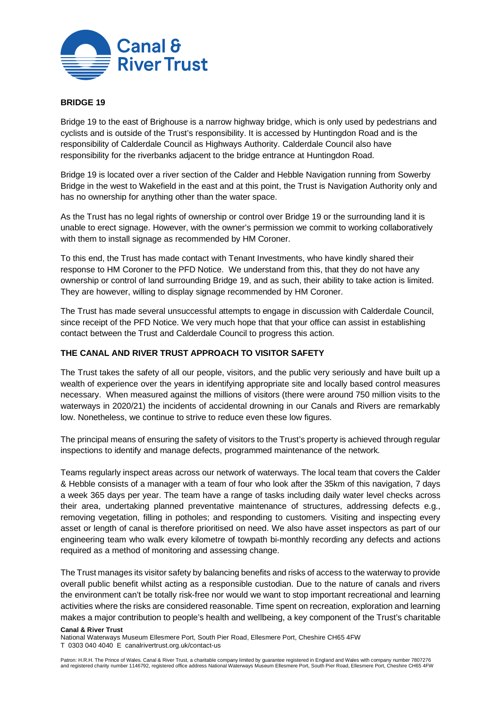

## **BRIDGE 19**

Bridge 19 to the east of Brighouse is a narrow highway bridge, which is only used by pedestrians and cyclists and is outside of the Trust's responsibility. It is accessed by Huntingdon Road and is the responsibility of Calderdale Council as Highways Authority. Calderdale Council also have responsibility for the riverbanks adjacent to the bridge entrance at Huntingdon Road.

Bridge 19 is located over a river section of the Calder and Hebble Navigation running from Sowerby Bridge in the west to Wakefield in the east and at this point, the Trust is Navigation Authority only and has no ownership for anything other than the water space.

As the Trust has no legal rights of ownership or control over Bridge 19 or the surrounding land it is unable to erect signage. However, with the owner's permission we commit to working collaboratively with them to install signage as recommended by HM Coroner.

To this end, the Trust has made contact with Tenant Investments, who have kindly shared their response to HM Coroner to the PFD Notice. We understand from this, that they do not have any ownership or control of land surrounding Bridge 19, and as such, their ability to take action is limited. They are however, willing to display signage recommended by HM Coroner.

The Trust has made several unsuccessful attempts to engage in discussion with Calderdale Council, since receipt of the PFD Notice. We very much hope that that your office can assist in establishing contact between the Trust and Calderdale Council to progress this action.

## **THE CANAL AND RIVER TRUST APPROACH TO VISITOR SAFETY**

The Trust takes the safety of all our people, visitors, and the public very seriously and have built up a wealth of experience over the years in identifying appropriate site and locally based control measures necessary. When measured against the millions of visitors (there were around 750 million visits to the waterways in 2020/21) the incidents of accidental drowning in our Canals and Rivers are remarkably low. Nonetheless, we continue to strive to reduce even these low figures.

The principal means of ensuring the safety of visitors to the Trust's property is achieved through regular inspections to identify and manage defects, programmed maintenance of the network.

Teams regularly inspect areas across our network of waterways. The local team that covers the Calder & Hebble consists of a manager with a team of four who look after the 35km of this navigation, 7 days a week 365 days per year. The team have a range of tasks including daily water level checks across their area, undertaking planned preventative maintenance of structures, addressing defects e.g., removing vegetation, filling in potholes; and responding to customers. Visiting and inspecting every asset or length of canal is therefore prioritised on need. We also have asset inspectors as part of our engineering team who walk every kilometre of towpath bi-monthly recording any defects and actions required as a method of monitoring and assessing change.

The Trust manages its visitor safety by balancing benefits and risks of access to the waterway to provide overall public benefit whilst acting as a responsible custodian. Due to the nature of canals and rivers the environment can't be totally risk-free nor would we want to stop important recreational and learning activities where the risks are considered reasonable. Time spent on recreation, exploration and learning makes a major contribution to people's health and wellbeing, a key component of the Trust's charitable

#### **Canal & River Trust**

National Waterways Museum Ellesmere Port, South Pier Road, Ellesmere Port, Cheshire CH65 4FW T 0303 040 4040 E canalrivertrust.org.uk/contact-us

Patron: H.R.H. The Prince of Wales. Canal & River Trust, a charitable company limited by guarantee registered in England and Wales with company number 7807276<br>and registered charity number 1146792, registered office addres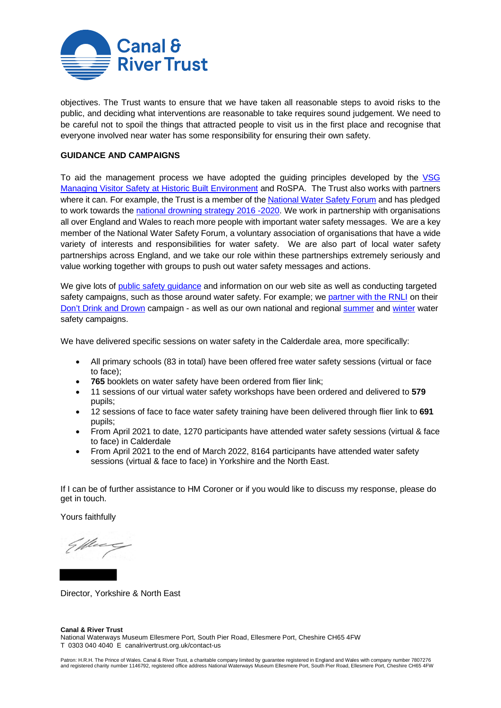

objectives. The Trust wants to ensure that we have taken all reasonable steps to avoid risks to the public, and deciding what interventions are reasonable to take requires sound judgement. We need to be careful not to spoil the things that attracted people to visit us in the first place and recognise that everyone involved near water has some responsibility for ensuring their own safety.

## **GUIDANCE AND CAMPAIGNS**

To aid the management process we have adopted the guiding principles developed by the VSG [Managing Visitor Safety at Historic Built Environment](https://www.visitorsafety.group/publications/) and RoSPA. The Trust also works with partners where it can. For example, the Trust is a member of th[e National Water Safety Forum](https://www.nationalwatersafety.org.uk/) and has pledged to work towards the [national drowning strategy](https://www.nationalwatersafety.org.uk/strategy/) 2016 -2020. We work in partnership with organisations all over England and Wales to reach more people with important water safety messages. We are a key member of the National Water Safety Forum, a voluntary association of organisations that have a wide variety of interests and responsibilities for water safety. We are also part of local water safety partnerships across England, and we take our role within these partnerships extremely seriously and value working together with groups to push out water safety messages and actions.

We give lots of [public safety guidance](https://canalrivertrust.org.uk/enjoy-the-waterways/safety-on-our-waterways) and information on our web site as well as conducting targeted safety campaigns, such as those around water safety. For example; we [partner with the RNLI](https://canalrivertrust.org.uk/enjoy-the-waterways/safety-on-our-waterways/water-safety-partnerships/royal-life-saving-society-partnership) on their [Don't Drink and Drown](https://canalrivertrust.org.uk/enjoy-the-waterways/safety-on-our-waterways/dont-drink-and-drown) campaign - as well as our own national and regional [summer](https://canalrivertrust.org.uk/enjoy-the-waterways/safety-on-our-waterways/summer-water-safety) an[d winter](https://canalrivertrust.org.uk/enjoy-the-waterways/safety-on-our-waterways/winter-water-safety) water safety campaigns.

We have delivered specific sessions on water safety in the Calderdale area, more specifically:

- All primary schools (83 in total) have been offered free water safety sessions (virtual or face to face);
- **765** booklets on water safety have been ordered from flier link;
- 11 sessions of our virtual water safety workshops have been ordered and delivered to **579** pupils;
- 12 sessions of face to face water safety training have been delivered through flier link to **691**  pupils;
- From April 2021 to date, 1270 participants have attended water safety sessions (virtual & face to face) in Calderdale
- From April 2021 to the end of March 2022, 8164 participants have attended water safety sessions (virtual & face to face) in Yorkshire and the North East.

If I can be of further assistance to HM Coroner or if you would like to discuss my response, please do get in touch.

Yours faithfully

Ellec

Director, Yorkshire & North East

#### **Canal & River Trust** National Waterways Museum Ellesmere Port, South Pier Road, Ellesmere Port, Cheshire CH65 4FW T 0303 040 4040 E canalrivertrust.org.uk/contact-us